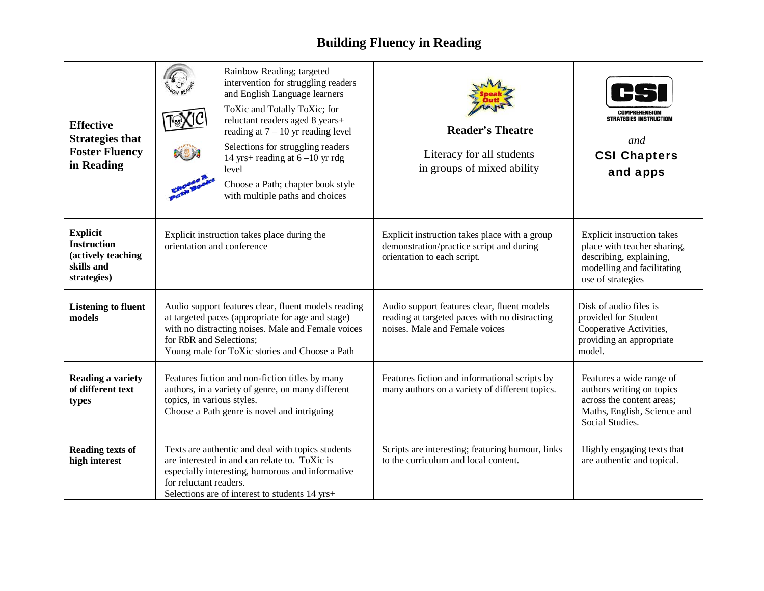## **Building Fluency in Reading**

| <b>Effective</b><br><b>Strategies that</b><br><b>Foster Fluency</b><br>in Reading        | Rainbow Reading; targeted<br>intervention for struggling readers<br>and English Language learners<br>ToXic and Totally ToXic; for<br>reluctant readers aged 8 years+<br>reading at $7 - 10$ yr reading level<br>Selections for struggling readers<br>14 yrs+ reading at $6-10$ yr rdg<br>level<br>Choose a Path; chapter book style<br>with multiple paths and choices | <b>Reader's Theatre</b><br>Literacy for all students<br>in groups of mixed ability                                             | COMPREHENSIO<br>STRATEGIES INSTRUCTION<br>and<br><b>CSI Chapters</b><br>and apps                                                        |
|------------------------------------------------------------------------------------------|------------------------------------------------------------------------------------------------------------------------------------------------------------------------------------------------------------------------------------------------------------------------------------------------------------------------------------------------------------------------|--------------------------------------------------------------------------------------------------------------------------------|-----------------------------------------------------------------------------------------------------------------------------------------|
| <b>Explicit</b><br><b>Instruction</b><br>(actively teaching<br>skills and<br>strategies) | Explicit instruction takes place during the<br>orientation and conference                                                                                                                                                                                                                                                                                              | Explicit instruction takes place with a group<br>demonstration/practice script and during<br>orientation to each script.       | Explicit instruction takes<br>place with teacher sharing,<br>describing, explaining,<br>modelling and facilitating<br>use of strategies |
| <b>Listening to fluent</b><br>models                                                     | Audio support features clear, fluent models reading<br>at targeted paces (appropriate for age and stage)<br>with no distracting noises. Male and Female voices<br>for RbR and Selections;<br>Young male for ToXic stories and Choose a Path                                                                                                                            | Audio support features clear, fluent models<br>reading at targeted paces with no distracting<br>noises. Male and Female voices | Disk of audio files is<br>provided for Student<br>Cooperative Activities,<br>providing an appropriate<br>model.                         |
| Reading a variety<br>of different text<br>types                                          | Features fiction and non-fiction titles by many<br>authors, in a variety of genre, on many different<br>topics, in various styles.<br>Choose a Path genre is novel and intriguing                                                                                                                                                                                      | Features fiction and informational scripts by<br>many authors on a variety of different topics.                                | Features a wide range of<br>authors writing on topics<br>across the content areas;<br>Maths, English, Science and<br>Social Studies.    |
| <b>Reading texts of</b><br>high interest                                                 | Texts are authentic and deal with topics students<br>are interested in and can relate to. ToXic is<br>especially interesting, humorous and informative<br>for reluctant readers.<br>Selections are of interest to students 14 yrs+                                                                                                                                     | Scripts are interesting; featuring humour, links<br>to the curriculum and local content.                                       | Highly engaging texts that<br>are authentic and topical.                                                                                |